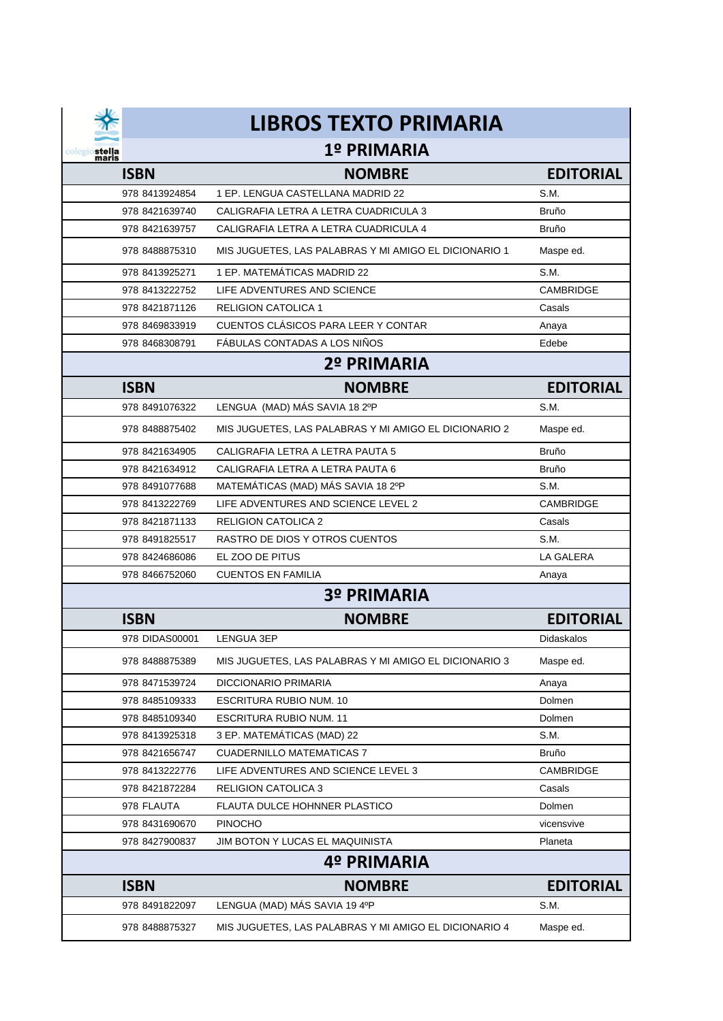| stella<br>maris |
|-----------------|

## **LIBROS TEXTO PRIMARIA**

## **1º PRIMARIA**

| <b>ISBN</b>    | <b>NOMBRE</b>                                         | <b>EDITORIAL</b> |  |  |  |
|----------------|-------------------------------------------------------|------------------|--|--|--|
| 978 8413924854 | 1 EP. LENGUA CASTELLANA MADRID 22                     | S.M.             |  |  |  |
| 978 8421639740 | CALIGRAFIA LETRA A LETRA CUADRICULA 3                 | <b>Bruño</b>     |  |  |  |
| 978 8421639757 | CALIGRAFIA LETRA A LETRA CUADRICULA 4                 | <b>Bruño</b>     |  |  |  |
| 978 8488875310 | MIS JUGUETES, LAS PALABRAS Y MI AMIGO EL DICIONARIO 1 | Maspe ed.        |  |  |  |
| 978 8413925271 | 1 EP. MATEMÁTICAS MADRID 22                           | S.M.             |  |  |  |
| 978 8413222752 | LIFE ADVENTURES AND SCIENCE                           | CAMBRIDGE        |  |  |  |
| 978 8421871126 | <b>RELIGION CATOLICA 1</b>                            | Casals           |  |  |  |
| 978 8469833919 | CUENTOS CLÁSICOS PARA LEER Y CONTAR                   | Anaya            |  |  |  |
| 978 8468308791 | FÁBULAS CONTADAS A LOS NIÑOS                          | Edebe            |  |  |  |
|                | 2º PRIMARIA                                           |                  |  |  |  |
| <b>ISBN</b>    | <b>NOMBRE</b>                                         | <b>EDITORIAL</b> |  |  |  |
| 978 8491076322 | LENGUA (MAD) MÁS SAVIA 18 2ºP                         | S.M.             |  |  |  |
| 978 8488875402 | MIS JUGUETES, LAS PALABRAS Y MI AMIGO EL DICIONARIO 2 | Maspe ed.        |  |  |  |
| 978 8421634905 | CALIGRAFIA LETRA A LETRA PAUTA 5                      | <b>Bruño</b>     |  |  |  |
| 978 8421634912 | CALIGRAFIA LETRA A LETRA PAUTA 6                      | <b>Bruño</b>     |  |  |  |
| 978 8491077688 | MATEMÁTICAS (MAD) MÁS SAVIA 18 2ºP                    | S.M.             |  |  |  |
| 978 8413222769 | LIFE ADVENTURES AND SCIENCE LEVEL 2                   | <b>CAMBRIDGE</b> |  |  |  |
| 978 8421871133 | <b>RELIGION CATOLICA 2</b>                            | Casals           |  |  |  |
| 978 8491825517 | RASTRO DE DIOS Y OTROS CUENTOS                        | S.M.             |  |  |  |
| 978 8424686086 | EL ZOO DE PITUS                                       | <b>LA GALERA</b> |  |  |  |
| 978 8466752060 | <b>CUENTOS EN FAMILIA</b>                             | Anaya            |  |  |  |
|                | <b>3º PRIMARIA</b>                                    |                  |  |  |  |
| <b>ISBN</b>    | <b>NOMBRE</b>                                         | <b>EDITORIAL</b> |  |  |  |
| 978 DIDAS00001 | LENGUA 3EP                                            | Didaskalos       |  |  |  |
| 978 8488875389 | MIS JUGUETES, LAS PALABRAS Y MI AMIGO EL DICIONARIO 3 | Maspe ed.        |  |  |  |
| 978 8471539724 | <b>DICCIONARIO PRIMARIA</b>                           | Anaya            |  |  |  |
| 978 8485109333 | ESCRITURA RUBIO NUM. 10                               | Dolmen           |  |  |  |
| 978 8485109340 | <b>ESCRITURA RUBIO NUM. 11</b>                        | Dolmen           |  |  |  |
| 978 8413925318 | 3 EP. MATEMÁTICAS (MAD) 22                            | S.M.             |  |  |  |
| 978 8421656747 | <b>CUADERNILLO MATEMATICAS 7</b>                      | <b>Bruño</b>     |  |  |  |
| 978 8413222776 | LIFE ADVENTURES AND SCIENCE LEVEL 3                   | CAMBRIDGE        |  |  |  |
| 978 8421872284 | <b>RELIGION CATOLICA 3</b>                            | Casals           |  |  |  |
| 978 FLAUTA     | <b>FLAUTA DULCE HOHNNER PLASTICO</b>                  | Dolmen           |  |  |  |
| 978 8431690670 | <b>PINOCHO</b>                                        | vicensvive       |  |  |  |
| 978 8427900837 | JIM BOTON Y LUCAS EL MAQUINISTA                       | Planeta          |  |  |  |
| 4º PRIMARIA    |                                                       |                  |  |  |  |
| <b>ISBN</b>    | <b>NOMBRE</b>                                         | <b>EDITORIAL</b> |  |  |  |
| 978 8491822097 | LENGUA (MAD) MÁS SAVIA 19 4ºP                         | S.M.             |  |  |  |
| 978 8488875327 | MIS JUGUETES, LAS PALABRAS Y MI AMIGO EL DICIONARIO 4 | Maspe ed.        |  |  |  |